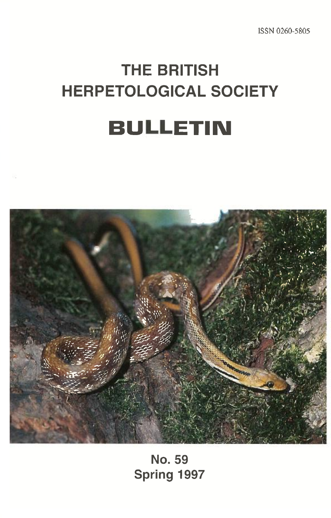# **THE BRITISH HERPETOLOGICAL SOCIETY BULLETIN**



**No. 59 Spring 1997**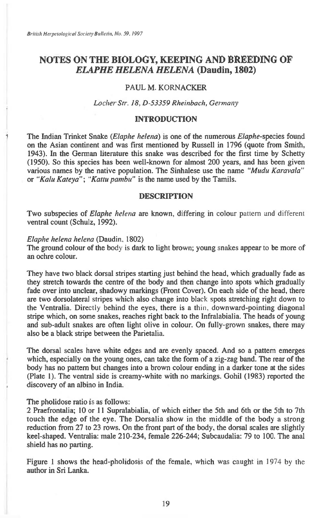### **NOTES ON THE BIOLOGY, KEEPING AND BREEDING OF**  *ELAPHE HELENA HELENA* **(Daudin, 1802)**

#### **PAUL M. KORNACKER**

#### *Locher Str. 18, D-53359 Rheinbach, Germany*

#### **INTRODUCTION**

**<sup>1</sup> The Indian Trinket Snake** *(Elaphe helena)* **is one of the numerous Elaphe-species found on the Asian continent and was first mentioned by Russell in 1796 (quote from Smith, 1943). In the German literature this snake was described for the first time by Schetty (1950). So this species has been well-known for almost 200 years, and has been given various names by the native population. The Sinhalese use the name** *"Mudu Karavala"*  **or** *"Kalu Kateya"; "Kattu pambu" is* **the name used by the Tamils.** 

#### **DESCRIPTION**

**Two subspecies of** *Elaphe helena* **are known, differing in colour** pattern and different **ventral count (Schulz, 1992).** 

#### *Elaphe helena helena* **(Daudin, 1802)**

**The ground colour of the body** is **dark to light brown; young snakes appear to be more of an ochre colour.** 

**They have two black dorsal stripes starting just behind the head, which gradually fade as they stretch towards the centre of the body and then change into spots which gradually fade over into unclear, shadowy markings (Front Cover). On each side of the head, there are two dorsolateral** stripes **which also change into** black **spots stretching right down to the Ventralia.** Directly behind the eyes, there **is a thin, downward-pointing diagonal stripe which, on some snakes, reaches right back to the Infralabialia. The heads of young and sub-adult snakes are often light olive in colour. On fully-grown snakes, there may also be a black stripe between the Parietalia.** 

**The dorsal scales have white edges and are evenly spaced. And so a pattern emerges which, especially on the young ones, can take the form of a zig-zag band. The rear of the body has no pattern but changes into a brown colour ending in a darker tone at the sides (Plate 1). The ventral side is creamy-white with no markings. Gohil (1983) reported the discovery of an albino in India.** 

#### **The pholidose ratio is as follows:**

**2 Praefrontalia; 10 or 11 Supralabialia, of which either the 5th and 6th or the 5th to 7th touch the edge of the eye. The Dorsalia show in the middle of the body a strong reduction from 27 to 23 rows. On the front part of the body, the dorsal scales are slightly keel-shaped. Ventralia: male 210-234, female 226-244; Subcaudalia: 79 to 100. The anal shield has no parting.** 

**Figure 1 shows the head pholidosis of the female, which was caught in** 1974 by the **author in Sri Lanka.**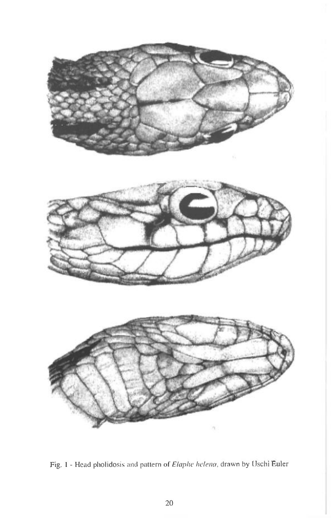

Fig. 1 - Head pholidosis and pattern of Elaphe helena, drawn by Uschi Euler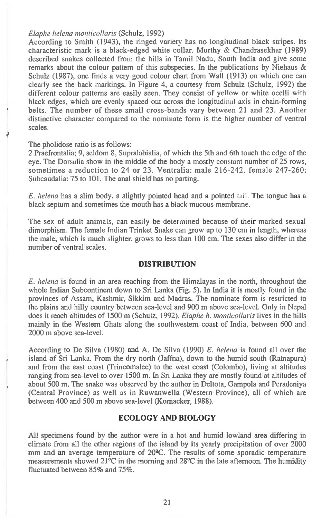#### *Elaphe helena monticollaris* (Schulz, 1992)

According to Smith (1943), the ringed variety has no longitudinal black stripes. Its characteristic mark is a black-edged white collar. Murthy & Chandrasekhar (1989) described snakes collected from the hills in Tamil Nadu, South India and give some remarks about the colour pattern of this subspecies. In the publications by Niehaus & Schulz (1987), one finds a very good colour chart from Wall (1913) on which one can clearly see the back markings. In Figure 4, a courtesy from Schulz (Schulz, 1992) the different colour patterns are easily seen. They consist of yellow or white ocelli with black edges, which are evenly spaced out across the longitudinal axis in chain-forming belts. The number of these small cross-bands vary between 21 and 23. Another distinctive character compared to the nominate form is the higher number of ventral scales.

The pholidose ratio is as follows:

2 Praefrontalia; 9, seldom 8, Supralabialia, of which the 5th and 6th touch the edge of the eye. The Dorsalia show in the middle of the body a mostly constant number of 25 rows, sometimes a reduction to 24 or 23. Ventralia: male 216-242, female 247-260; Subcaudalia: 75 to 101. The anal shield has no parting.

*E. helena* has a slim body, a slightly pointed head and a pointed tail. The tongue has a black septum and sometimes the mouth has a black mucous membrane.

The sex of adult animals, can easily be determined because of their marked sexual dimorphism. The female Indian Trinket Snake can grow up to 130 cm in length, whereas the male, which is much slighter, grows to less than 100 cm. The sexes also differ in the number of ventral scales.

#### **DISTRIBUTION**

*E. helena* is found in an area reaching from the Himalayas in the north, throughout the whole Indian Subcontinent down to Sri Lanka (Fig. 5). In India it is mostly found in the provinces of Assam, Kashmir, Sikkim and Madras. The nominate form is restricted to the plains and hilly country between sea-level and 900 m above sea-level. Only in Nepal does it reach altitudes of 1500 m (Schulz, 1992). *Elaphe h. monticollaris* lives in the hills mainly in the Western Ghats along the southwestern coast of India, between 600 and 2000 m above sea-level.

According to De Silva (1980) and A. De Silva (1990) *E. helena* is found all over the island of Sri Lanka. From the dry north (Jaffna), down to the humid south (Ratnapura) and from the east coast (Trincomalee) to the west coast (Colombo), living at altitudes ranging from sea-level to over 1500 m. In Sri Lanka they are mostly found at altitudes of about 500 m. The snake was observed by the author in Deltota, Gampola and Peradeniya (Central Province) as well as in Ruwanwella (Western Province), all of which are between 400 and 500 m above sea-level (Kornacker, 1988).

#### **ECOLOGY AND BIOLOGY**

All specimens found by the author were in a hot and humid lowland area differing in climate from all the other regions of the island by its yearly precipitation of over 2000 mm and an average temperature of 20°C. The results of some sporadic temperature measurements showed 21°C in the morning and 28°C in the late afternoon. The humidity fluctuated between 85% and 75%.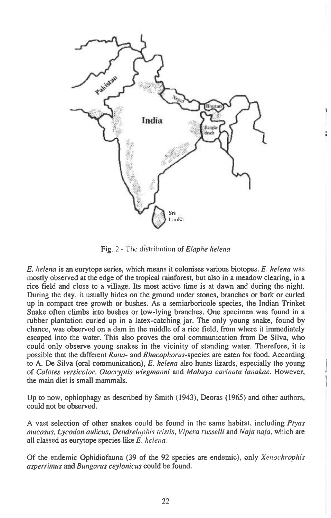

Fig. 2 - The distribution of *Elaphe helena* 

*E. helena is* an eurytope series, which means it colonises various biotopes. *E. helena* was mostly observed at the edge of the tropical rainforest, but also in a meadow clearing, in a rice field and close to a village. Its most active time is at dawn and during the night. During the day, it usually hides on the ground under stones, branches or bark or curled up in compact tree growth or bushes. As a semiarboricole species, the Indian Trinket Snake often climbs into bushes or low-lying branches. One specimen was found in a rubber plantation curled up in a latex-catching jar. The only young snake, found by chance, was observed on a dam in the middle of a rice field, from where it immediately escaped into the water. This also proves the oral communication from De Silva, who could only observe young snakes in the vicinity of standing water. Therefore, it is possible that the different *Rana-* and *Rhacophorus-species are* eaten for food. According to A. De Silva (oral communication), *E. helena* also hunts lizards, especially the young of *Calotes versicolor, Otocryptis wiegmanni* and *Mabuya carinata lanakae.* However, the main diet is small mammals.

Up to now, ophiophagy as described by Smith (1943), Deoras (1965) and other authors, could not be observed.

A vast selection of other snakes could be found in the same habitat, including *Ptyas mucosus, Lycodon aulicus, Dendrelaphis tristis, Vipera russelli* and *Naja naja,* which are all classed as eurytope species like *E. helena.* 

Of the endemic Ophidiofauna (39 of the 92 species are endemic), only *Xenochrophis asperrimus* and *Bungarus ceylonicus* could be found.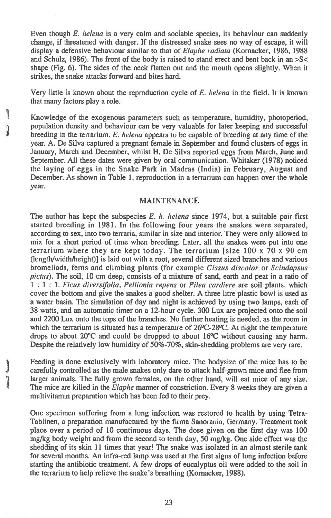Even though *E. helena is* a very calm and sociable species, its behaviour can suddenly change, if threatened with danger. If the distressed snake sees no way of escape, it will display a defensive behaviour similar to that of *Elaphe radiata* (Komacker, 1986, 1988 and Schulz, 1986). The front of the body is raised to stand erect and bent back in an >S< shape (Fig. 6). The sides of the neck flatten out and the mouth opens slightly. When it strikes, the snake attacks forward and bites hard.

Very little is known about the reproduction cycle of *E. helena* in the field. It is known that many factors play a role.

Knowledge of the exogenous parameters such as temperature, humidity, photoperiod, population density and behaviour can be very valuable for later keeping and successful breeding in the terrarium. *E. helena* appears to be capable of breeding at any time of the year. A. De Silva captured a pregnant female in September and found clusters of eggs in January, March and December, whilst H. De Silva reported eggs from March, June and September. All these dates were given by oral communication. Whitaker (1978) noticed the laying of eggs in the Snake Park in Madras (India) in February, August and December. As shown in Table 1, reproduction in a terrarium can happen over the whole year.

 $\begin{matrix} 0 \\ 0 \end{matrix}$ 

#### MAINTENANCE

The author has kept the subspecies *E. h. helena* since 1974, but a suitable pair first started breeding in 1981. In the following four years the snakes were separated, according to sex, into two terraria, similar in size and interior. They were only allowed to mix for a short period of time when breeding. Later, all the snakes were put into one terrarium where they are kept today. The terrarium [size 100 x 70 x 90 cm (length/width/height)] is laid out with a root, several different sized branches and various bromeliads, ferns and climbing plants (for example *Cissus discolor* or *Scindapsus pictus).* The soil, 10 cm deep, consists of a mixture of sand, earth and peat in a ratio of 1 : 1 : 1. *Ficus diversifolia, Pellionia repens* or *Pilea cardiere are* soil plants, which cover the bottom and give the snakes a good shelter. A three litre plastic bowl is used as a water basin. The simulation of day and night is achieved by using two lamps, each of 38 watts, and an automatic timer on a 12-hour cycle. 300 Lux are projected onto the soil and 2200 Lux onto the tops of the branches. No further heating is needed, as the room in which the terrarium is situated has a temperature of  $26^{\circ}C-28^{\circ}C$ . At night the temperature drops to about  $20^{\circ}$ C and could be dropped to about  $16^{\circ}$ C without causing any harm. Despite the relatively low humidity of 50%-70%, skin-shedding problems are very rare.

Feeding is done exclusively with laboratory mice. The bodysize of the mice has to be carefully controlled as the male snakes only dare to attack half-grown mice and flee from larger animals. The fully grown females, on the other hand, will eat mice of any size. The mice are killed in the *Elaphe* manner of constriction. Every 8 weeks they are given a multivitamin preparation which has been fed to their prey.

One specimen suffering from a lung infection was restored to health by using Tetra-Tablinen, a preparation manufactured by the firma Sanorania, Germany. Treatment took place over a period of 10 continuous days. The dose given on the first day was 100 mg/kg body weight and from the second to tenth day, 50 mg/kg. One side effect was the shedding of its skin 11 times that year! The snake was isolated in an almost sterile tank for several months. An infra-red lamp was used at the first signs of lung infection before starting the antibiotic treatment. A few drops of eucalyptus oil were added to the soil in the terrarium to help relieve the snake's breathing (Komacker, 1988).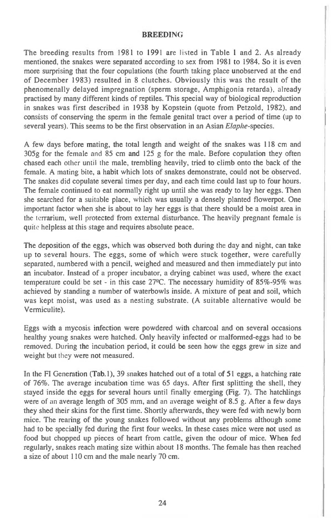#### BREEDING

The breeding results from 1981 to 1991 are listed in Table 1 and 2. As already mentioned, the snakes were separated according to sex from 1981 to 1984. So it is even more surprising that the four copulations (the fourth taking place unobserved at the end of December 1983) resulted in 8 clutches. Obviously this was the result of the phenomenally delayed impregnation (sperm storage, Amphigonia retarda), already practised by many different kinds of reptiles. This special way of biological reproduction in snakes was first described in 1938 by Kopstein (quote from Petzold, 1982), and consists of conserving the sperm in the female genital tract over a period of time (up to several years). This seems to be the first observation in an Asian Elaphe-species.

A few days before mating, the total length and weight of the snakes was 118 cm and 305g for the female and 85 cm and 125 g for the male. Before copulation they often chased each other until the male, trembling heavily, tried to climb onto the back of the female. A mating bite, a habit which lots of snakes demonstrate, could not be observed. The snakes did copulate several times per day, and each time could last up to four hours. The female continued to eat normally right up until she was ready to lay her eggs. Then she searched for a suitable place, which was usually a densely planted flowerpot. One important factor when she is about to lay her eggs is that there should be a moist area in the terrarium, well protected from external disturbance. The heavily pregnant female is quite helpless at this stage and requires absolute peace.

The deposition of the eggs, which was observed both during the day and night, can take up to several hours. The eggs, some of which were stuck together, were carefully separated, numbered with a pencil, weighed and measured and then immediately put into an incubator. Instead of a proper incubator, a drying cabinet was used, where the exact temperature could be set - in this case 27°C. The necessary humidity of 85%-95% was achieved by standing a number of waterbowls inside. A mixture of peat and soil, which was kept moist, was used as a nesting substrate. (A suitable alternative would be Vermiculite).

Eggs with a mycosis infection were powdered with charcoal and on several occasions healthy young snakes were hatched. Only heavily infected or malformed-eggs had to be removed. During the incubation period, it could be seen how the eggs grew in size and weight but they were not measured.

In the **Fl** Generation (Tab.1), 39 snakes hatched out of a total of 51 eggs, a hatching rate of 76%. The average incubation time was 65 days. After first splitting the shell, they stayed inside the eggs for several hours until finally emerging (Fig. 7). The hatchlings were of an average length of 305 mm, and an average weight of 8.5 g. After a few days they shed their skins for the first time. Shortly afterwards, they were fed with newly born mice. The rearing of the young snakes followed without any problems although some had to be specially fed during the first four weeks. In these cases mice were not used as food but chopped up pieces of heart from cattle, given the odour of mice. When fed regularly, snakes reach mating size within about 18 months. The female has then reached a size of about 110 cm and the male nearly 70 cm.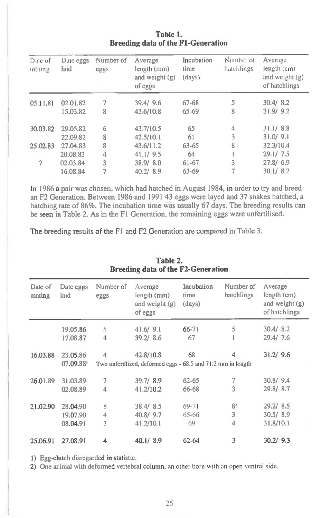| Date of<br>mating | Date eggs<br>laid | Number of<br>eggs | Average<br>length (mm)<br>and weight (g)<br>of eggs | Incubation<br>time<br>(days) | Number of<br>hatchlings | Average<br>length (cm)<br>and weight $(g)$<br>of hatchlings |
|-------------------|-------------------|-------------------|-----------------------------------------------------|------------------------------|-------------------------|-------------------------------------------------------------|
| 05.11.81          | 02.01.82          | 7                 | 39.4/9.6                                            | $67 - 68$                    | 5                       | 30.4/8.2                                                    |
|                   | 15.03.82          | 8                 | 43.6/10.8                                           | 65-69                        | 8                       | 31.9/9.2                                                    |
| 30.03.82          | 29.05.82          | 6                 | 43.7/10.5                                           | 65                           | 4                       | 31.1/8.8                                                    |
|                   | 22.09.82          | 8                 | 42.5/10.1                                           | 61                           | 3                       | 31.0/9.1                                                    |
| 25,02.83          | 27.04.83          | 8                 | 43.6/11.2                                           | $63 - 65$                    | 8                       | 32.3/10.4                                                   |
|                   | 20.08.83          | 4                 | 41.1/9.5                                            | 64                           |                         | 29.1/7.5                                                    |
| ?                 | 02.03.84          | $\overline{3}$    | 38.9/8.0                                            | 61-67                        | 3                       | 27.8/6.9                                                    |
|                   | 16.08.84          | 7                 | 40.2/8.9                                            | 63-69                        |                         | 30.1/8.2                                                    |

**Table 1. Breeding data of the Fl-Generation** 

**In** 1986 a pair was chosen, which had hatched in August 1984, in order to try and breed an F2 Generation. Between 1986 and 1991 43 eggs were layed and 37 snakes hatched, a hatching rate of 86%. The incubation time was usually 67 days. The breeding results can be seen in Table 2. As in the Fl Generation, the remaining eggs were unfertilised.

The breeding results of the F1 and F2 Generation are compared in Table 3.

| <b>Breeding data of the F2-Generation</b> |                                                                          |                   |                                                       |                              |                         |                                                             |  |
|-------------------------------------------|--------------------------------------------------------------------------|-------------------|-------------------------------------------------------|------------------------------|-------------------------|-------------------------------------------------------------|--|
| Date of<br>mating                         | Date eggs<br>laid                                                        | Number of<br>eggs | Average<br>length (mm)<br>and weight $(g)$<br>of eggs | Incubation<br>time<br>(days) | Number of<br>hatchlings | Average<br>length (cm)<br>and weight $(g)$<br>of hatchlings |  |
|                                           | 19.05.86                                                                 | 5                 | 41.6/9.1                                              | $66 - 71$                    | 5                       | 30.4/8.2                                                    |  |
|                                           | 17.08.87                                                                 | 4                 | 39.2/8.6                                              | 67                           |                         | 29.4/7.6                                                    |  |
| 16.03.88                                  | 23.05.86                                                                 | $\overline{4}$    | 42.8/10.8                                             | 68                           | 4                       | 31.2/9.6                                                    |  |
|                                           | 07.09.88<br>Two unfertilized, deformed eggs - 68.5 and 71.2 mm in length |                   |                                                       |                              |                         |                                                             |  |
| 26.01.89                                  | 31.03.89                                                                 | 7                 | 39.7/8.9                                              | $62 - 65$                    | 7                       | 30.8/9.4                                                    |  |
|                                           | 02.08.89                                                                 | 4                 | 41.2/10.2                                             | 66-68                        | 3                       | 29.8/8.7                                                    |  |
| 21.02.90                                  | 28.04.90                                                                 | 8                 | 38.4/8.5                                              | 69-71                        | 8 <sup>2</sup>          | 29.2/8.5                                                    |  |
|                                           | 19.07.90                                                                 | 4                 | 40.8/9.7                                              | $65 - 66$                    | 3                       | 30.5/8.9                                                    |  |
|                                           | 08.04.91                                                                 | 3                 | 41.2/10.1                                             | 69                           | 4                       | 31.8/10.1                                                   |  |
| 25.06.91                                  | 27.08.91                                                                 | 4                 | 40.1/8.9                                              | $62 - 64$                    | 3                       | 30.2/9.3                                                    |  |

## **Table 2.**

1) Egg-clutch disregarded in statistic.

2) One animal with deformed vertebral column, an other born with an open ventral side.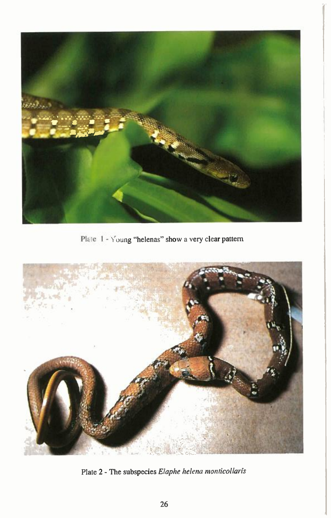

Plate 1 - Young "helenas" show a very clear pattern



Plate 2 - The subspecies *Elaphe helena monticollaris*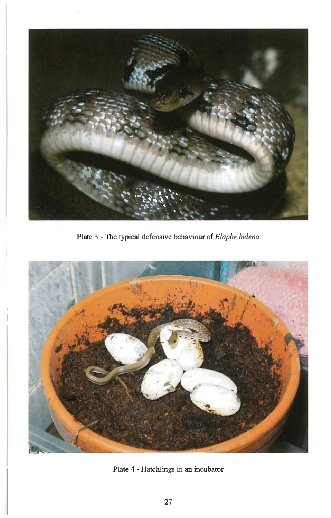

Plate 3 - The typical defensive behaviour of *Elaphe helena* 



Plate 4 - Hatchlings in an incubator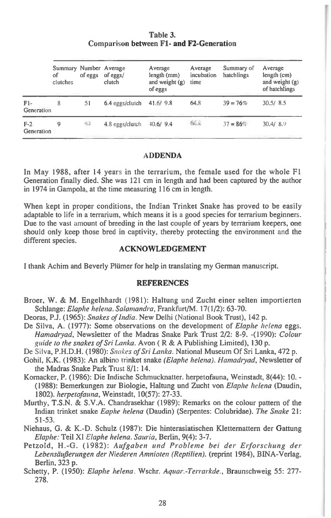**Table 3.**  Comparison **between Fl- and F2-Generation** 

|                     | Summary Number Average<br>of<br>clutches | of eggs | of eggs/<br>clutch | Average<br>length (mm)<br>and weight $(g)$ | Average<br>incubation<br>time | Summary of<br>hatchlings | Average<br>length (cm)<br>and weight $(g)$ |
|---------------------|------------------------------------------|---------|--------------------|--------------------------------------------|-------------------------------|--------------------------|--------------------------------------------|
| $F1-$<br>Generation | 8                                        | 51      | 6.4 eggs/clutch    | of eggs<br>41.6/9.8                        | 64.8                          | $39 = 76%$               | of hatchlings<br>30.5/8.5                  |
| $F-2$<br>Generation | 9                                        | 413     | 4.8 eggs/clutch    | $-10.6/9.4$                                | 66.8                          | $37 = 86\%$              | 30.4/8.9                                   |

#### **ADDENDA**

In May 1988, after 14 years in the terrarium, the female used for the whole F1 Generation finally died. She was 121 cm in length and had been captured by the author in 1974 in Gampola, at the time measuring 116 cm in length.

When kept in proper conditions, the Indian Trinket Snake has proved to be easily adaptable to life in a terrarium, which means it is a good species for terrarium beginners. Due to the vast amount of breeding in the last couple of years by terrarium keepers, one should only keep those bred in captivity, thereby protecting the environment and the different species.

#### **ACKNOWLEDGEMENT**

I thank Achim and Beverly Pliimer for help in translating my German manuscript.

#### **REFERENCES**

- Broer, W. & M. Engelhhardt (1981): Haltung und Zucht einer selten importierten Schlange: Elaphe helena. Salamandra, Frankfurt/M. 17(1/2): 63-70.
- Deoras, **P.J.** (1965): Snakes of India. New Delhi (National Book Trust), 142 p.
- De Silva, A. (1977): Some observations on the development of *Elaphe helena* eggs. Hamadryad, Newsletter of the Madras Snake Park Trust 2/2: 8-9. -(1990): Colour guide to the snakes of Sri Lanka. Avon ( R & A Publishing Limited), 130 p.
- De Silva, **P.H.D.H.** (1980): Snakes of Sri Lanka. National Museum Of Sri Lanka, 472 p.
- Gohil, K.K. (1983): An albino trinket snake (Elaphe helena). Hamadryad, Newsletter of the Madras Snake Park Trust 8/1: 14.
- Komacker, P. (1986): Die Indische Schmucknatter. herpetofauna, Weinstadt, 8(44): 10. (1988): Bemerkungen zur Biologie, Haltung und Zucht von Elaphe helena (Daudin, 1802). herpetofauna, Weinstadt, 10(57): 27-33.
- Murthy, T.S.N. & S.V.A. Chandrasekhar (1989): Remarks on the colour pattern of the Indian trinket snake Eaphe helena (Daudin) (Serpentes: Colubridae). The Snake 21: 51-53.
- Niehaus, G. & K.-D. Schulz (19871: Die hinterasiatischen Kletternattern der Gattung Elaphe: Teil XI Elaphe helena. Sauria, Berlin, 9(4): 3-7.
- Petzold, H.-G. (1982): Aufgaben und Probleme bei der Erforschung der Lebensäußerungen der Niederen Amnioten (Reptilien). (reprint 1984), BINA-Verlag, Berlin, 323 p.
- Schetty, P. (1950): Elaphe helena. Wschr. Aquar.-Terrarkde., Braunschweig 55: 277- 278.